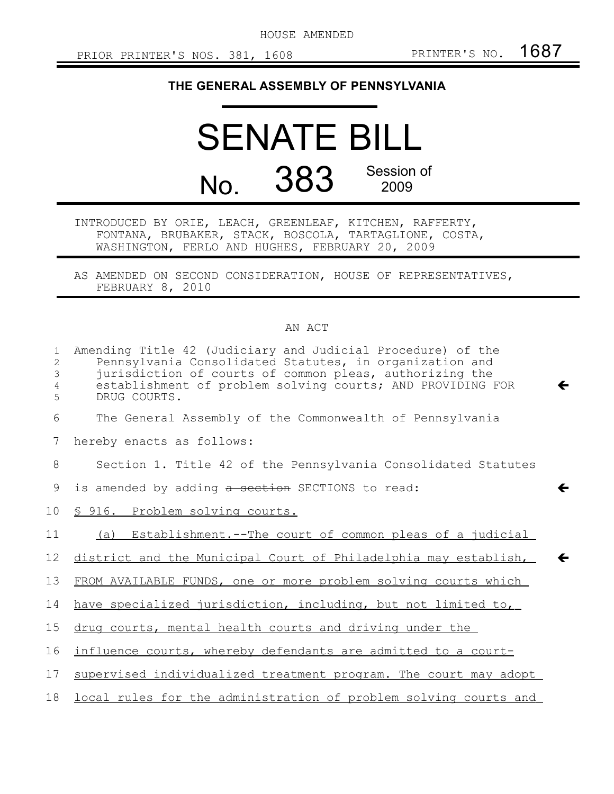HOUSE AMENDED

## **THE GENERAL ASSEMBLY OF PENNSYLVANIA**

## SENATE BILL No. 383 Session of 2009

INTRODUCED BY ORIE, LEACH, GREENLEAF, KITCHEN, RAFFERTY, FONTANA, BRUBAKER, STACK, BOSCOLA, TARTAGLIONE, COSTA, WASHINGTON, FERLO AND HUGHES, FEBRUARY 20, 2009

AS AMENDED ON SECOND CONSIDERATION, HOUSE OF REPRESENTATIVES, FEBRUARY 8, 2010

## AN ACT

| $\mathbf{1}$<br>2<br>3<br>4<br>5 | Amending Title 42 (Judiciary and Judicial Procedure) of the<br>Pennsylvania Consolidated Statutes, in organization and<br>jurisdiction of courts of common pleas, authorizing the<br>establishment of problem solving courts; AND PROVIDING FOR<br>DRUG COURTS. |
|----------------------------------|-----------------------------------------------------------------------------------------------------------------------------------------------------------------------------------------------------------------------------------------------------------------|
| 6                                | The General Assembly of the Commonwealth of Pennsylvania                                                                                                                                                                                                        |
| 7                                | hereby enacts as follows:                                                                                                                                                                                                                                       |
| 8                                | Section 1. Title 42 of the Pennsylvania Consolidated Statutes                                                                                                                                                                                                   |
| 9                                | is amended by adding a section SECTIONS to read:                                                                                                                                                                                                                |
| 10 <sub>o</sub>                  | § 916. Problem solving courts.                                                                                                                                                                                                                                  |
| 11                               | (a) Establishment.--The court of common pleas of a judicial                                                                                                                                                                                                     |
| 12                               | district and the Municipal Court of Philadelphia may establish,                                                                                                                                                                                                 |
| 13                               | FROM AVAILABLE FUNDS, one or more problem solving courts which                                                                                                                                                                                                  |
| 14                               | have specialized jurisdiction, including, but not limited to,                                                                                                                                                                                                   |
| 15                               | drug courts, mental health courts and driving under the                                                                                                                                                                                                         |
| 16                               | influence courts, whereby defendants are admitted to a court-                                                                                                                                                                                                   |
| 17                               | supervised individualized treatment program. The court may adopt                                                                                                                                                                                                |
| 18                               | local rules for the administration of problem solving courts and                                                                                                                                                                                                |
|                                  |                                                                                                                                                                                                                                                                 |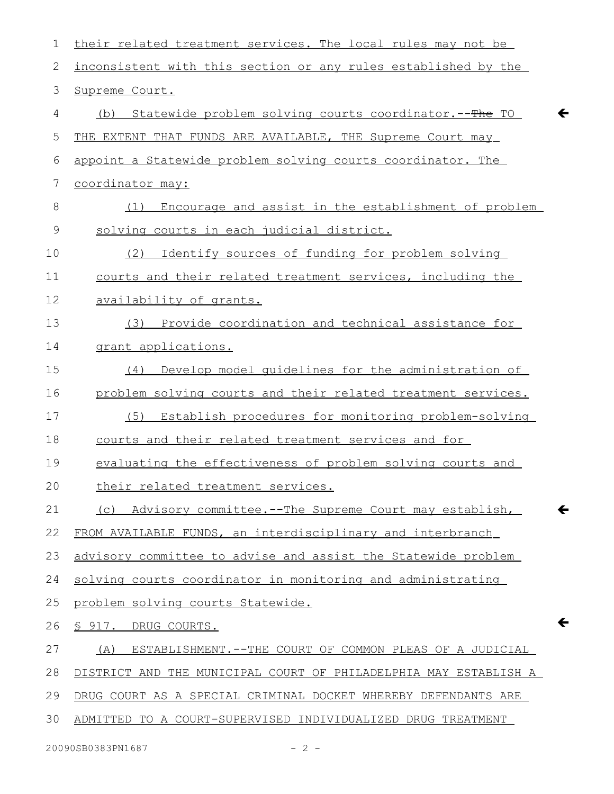| $\mathbf 1$ | their related treatment services. The local rules may not be                        |
|-------------|-------------------------------------------------------------------------------------|
| 2           | inconsistent with this section or any rules established by the                      |
| 3           | Supreme Court.                                                                      |
| 4           | $\leftarrow$<br><u>Statewide problem solving courts coordinator.--The TO</u><br>(b) |
| 5           | THE EXTENT THAT FUNDS ARE AVAILABLE, THE Supreme Court may                          |
| 6           | appoint a Statewide problem solving courts coordinator. The                         |
| 7           | coordinator may:                                                                    |
| $8\,$       | Encourage and assist in the establishment of problem<br>(1)                         |
| $\mathsf 9$ | solving courts in each judicial district.                                           |
| 10          | (2)<br>Identify sources of funding for problem solving                              |
| 11          | courts and their related treatment services, including the                          |
| 12          | availability of grants.                                                             |
| 13          | Provide coordination and technical assistance for<br>(3)                            |
| 14          | grant applications.                                                                 |
| 15          | Develop model quidelines for the administration of<br>(4)                           |
| 16          | problem solving courts and their related treatment services.                        |
| 17          | Establish procedures for monitoring problem-solving<br>(5)                          |
| 18          | courts and their related treatment services and for                                 |
| 19          | evaluating the effectiveness of problem solving courts and                          |
| 20          | their related treatment services.                                                   |
| 21          | Advisory committee.--The Supreme Court may establish,<br>$\leftarrow$<br>(C)        |
| 22          | FROM AVAILABLE FUNDS, an interdisciplinary and interbranch                          |
| 23          | advisory committee to advise and assist the Statewide problem                       |
| 24          | solving courts coordinator in monitoring and administrating                         |
| 25          | problem solving courts Statewide.                                                   |
| 26          | ←<br>§ 917. DRUG COURTS.                                                            |
| 27          | ESTABLISHMENT. -- THE COURT OF COMMON PLEAS OF A JUDICIAL<br>(A)                    |
| 28          | DISTRICT AND THE MUNICIPAL COURT OF PHILADELPHIA MAY ESTABLISH A                    |
| 29          | DRUG COURT AS A SPECIAL CRIMINAL DOCKET WHEREBY DEFENDANTS ARE                      |
| 30          | ADMITTED TO A COURT-SUPERVISED INDIVIDUALIZED DRUG TREATMENT                        |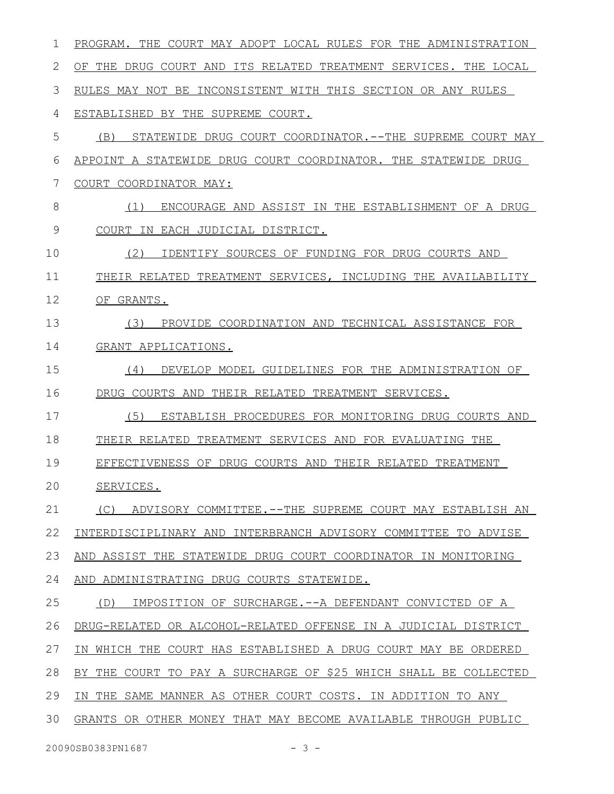| 1  | PROGRAM. THE COURT MAY ADOPT LOCAL RULES FOR THE ADMINISTRATION  |
|----|------------------------------------------------------------------|
| 2  | OF THE DRUG COURT AND ITS RELATED TREATMENT SERVICES. THE LOCAL  |
| 3  | RULES MAY NOT BE INCONSISTENT WITH THIS SECTION OR ANY RULES     |
| 4  | ESTABLISHED BY THE SUPREME COURT.                                |
| 5  | STATEWIDE DRUG COURT COORDINATOR.--THE SUPREME COURT MAY<br>(B)  |
| 6  | APPOINT A STATEWIDE DRUG COURT COORDINATOR. THE STATEWIDE DRUG   |
| 7  | COURT COORDINATOR MAY:                                           |
| 8  | (1)<br>ENCOURAGE AND ASSIST IN THE ESTABLISHMENT OF A DRUG       |
| 9  | COURT<br>IN EACH JUDICIAL DISTRICT.                              |
| 10 | (2)<br>IDENTIFY SOURCES OF FUNDING FOR DRUG COURTS AND           |
| 11 | THEIR RELATED TREATMENT SERVICES, INCLUDING THE AVAILABILITY     |
| 12 | OF GRANTS.                                                       |
| 13 | PROVIDE COORDINATION AND TECHNICAL ASSISTANCE FOR<br>(3)         |
| 14 | GRANT APPLICATIONS.                                              |
| 15 | DEVELOP MODEL GUIDELINES FOR THE ADMINISTRATION OF<br>(4)        |
| 16 | DRUG COURTS AND<br>THEIR RELATED TREATMENT SERVICES.             |
| 17 | (5)<br>ESTABLISH PROCEDURES FOR MONITORING DRUG COURTS AND       |
| 18 | THEIR RELATED<br>TREATMENT SERVICES AND FOR EVALUATING THE       |
| 19 | EFFECTIVENESS OF DRUG COURTS AND THEIR RELATED TREATMENT         |
| 20 | SERVICES.                                                        |
| 21 | ADVISORY COMMITTEE.--THE SUPREME COURT MAY ESTABLISH AN<br>(C)   |
| 22 | INTERDISCIPLINARY AND INTERBRANCH ADVISORY COMMITTEE TO ADVISE   |
| 23 | AND ASSIST THE STATEWIDE DRUG COURT COORDINATOR IN MONITORING    |
| 24 | AND ADMINISTRATING DRUG COURTS STATEWIDE.                        |
| 25 | IMPOSITION OF SURCHARGE.--A DEFENDANT CONVICTED OF A<br>(D)      |
| 26 | DRUG-RELATED OR ALCOHOL-RELATED OFFENSE IN A JUDICIAL DISTRICT   |
| 27 | IN WHICH THE COURT HAS ESTABLISHED A DRUG COURT MAY BE ORDERED   |
| 28 | BY THE COURT TO PAY A SURCHARGE OF \$25 WHICH SHALL BE COLLECTED |
| 29 | IN THE SAME MANNER AS OTHER COURT COSTS. IN ADDITION TO ANY      |
| 30 | GRANTS OR OTHER MONEY THAT MAY BECOME AVAILABLE THROUGH PUBLIC   |